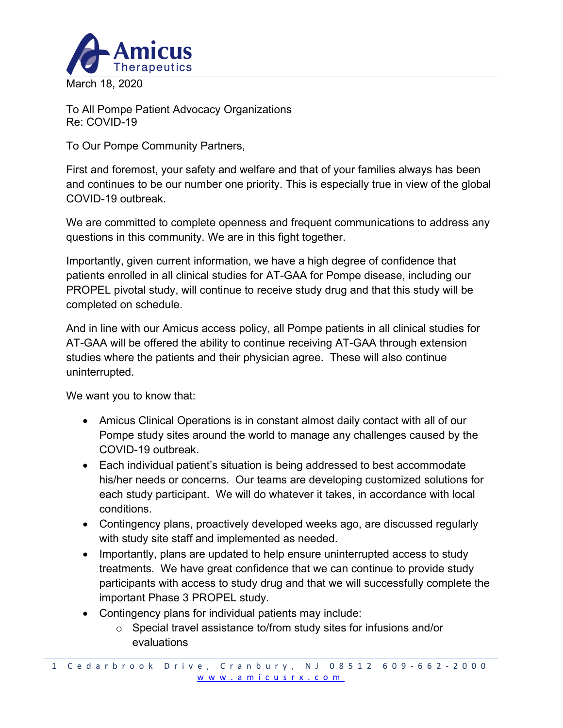

To All Pompe Patient Advocacy Organizations Re: COVID-19

To Our Pompe Community Partners,

First and foremost, your safety and welfare and that of your families always has been and continues to be our number one priority. This is especially true in view of the global COVID-19 outbreak.

We are committed to complete openness and frequent communications to address any questions in this community. We are in this fight together.

Importantly, given current information, we have a high degree of confidence that patients enrolled in all clinical studies for AT-GAA for Pompe disease, including our PROPEL pivotal study, will continue to receive study drug and that this study will be completed on schedule.

And in line with our Amicus access policy, all Pompe patients in all clinical studies for AT-GAA will be offered the ability to continue receiving AT-GAA through extension studies where the patients and their physician agree. These will also continue uninterrupted.

We want you to know that:

- Amicus Clinical Operations is in constant almost daily contact with all of our Pompe study sites around the world to manage any challenges caused by the COVID-19 outbreak.
- Each individual patient's situation is being addressed to best accommodate his/her needs or concerns. Our teams are developing customized solutions for each study participant. We will do whatever it takes, in accordance with local conditions.
- Contingency plans, proactively developed weeks ago, are discussed regularly with study site staff and implemented as needed.
- Importantly, plans are updated to help ensure uninterrupted access to study treatments. We have great confidence that we can continue to provide study participants with access to study drug and that we will successfully complete the important Phase 3 PROPEL study.
- Contingency plans for individual patients may include:
	- o Special travel assistance to/from study sites for infusions and/or evaluations